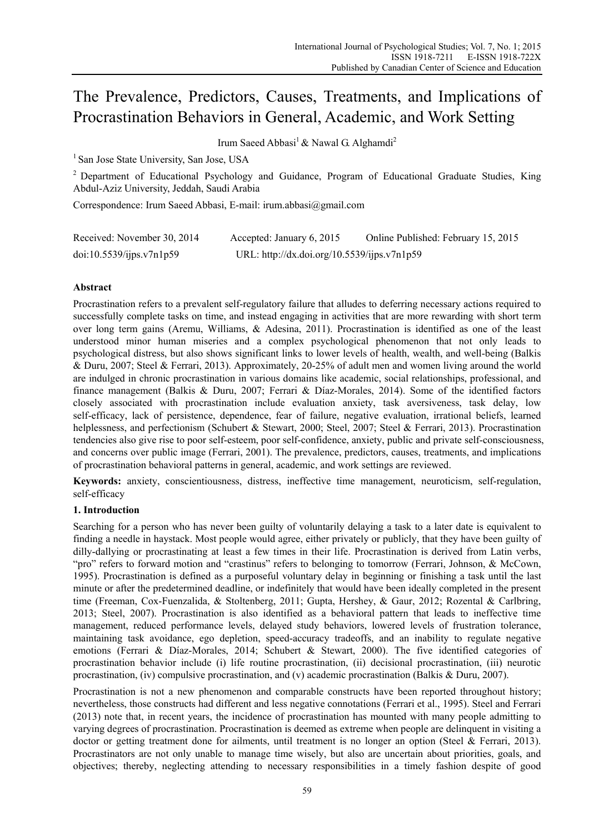# The Prevalence, Predictors, Causes, Treatments, and Implications of Procrastination Behaviors in General, Academic, and Work Setting

Irum Saeed Abbasi<sup>1</sup> & Nawal G. Alghamdi<sup>2</sup>

<sup>1</sup> San Jose State University, San Jose, USA

<sup>2</sup> Denartment of Educational Psychology and Guidance, Program of Educational Graduate Studies, King Abdul-Aziz University, Jeddah, Saudi Arabia

Correspondence: Irum Saeed Abbasi, E-mail: irum.abbasi@gmail.com

| Received: November 30, 2014 | Accepted: January 6, 2015                   | Online Published: February 15, 2015 |
|-----------------------------|---------------------------------------------|-------------------------------------|
| doi:10.5539/ijps.v7n1p59    | URL: http://dx.doi.org/10.5539/ijps.v7n1p59 |                                     |

# **Abstract**

Procrastination refers to a prevalent self-regulatory failure that alludes to deferring necessary actions required to successfully complete tasks on time, and instead engaging in activities that are more rewarding with short term over long term gains (Aremu, Williams, & Adesina, 2011). Procrastination is identified as one of the least understood minor human miseries and a complex psychological phenomenon that not only leads to psychological distress, but also shows significant links to lower levels of health, wealth, and well-being (Balkis & Duru, 2007; Steel & Ferrari, 2013). Approximately, 20-25% of adult men and women living around the world are indulged in chronic procrastination in various domains like academic, social relationships, professional, and finance management (Balkis & Duru, 2007; Ferrari & Díaz-Morales, 2014). Some of the identified factors closely associated with procrastination include evaluation anxiety, task aversiveness, task delay, low self-efficacy, lack of persistence, dependence, fear of failure, negative evaluation, irrational beliefs, learned helplessness, and perfectionism (Schubert & Stewart, 2000; Steel, 2007; Steel & Ferrari, 2013). Procrastination tendencies also give rise to poor self-esteem, poor self-confidence, anxiety, public and private self-consciousness, and concerns over public image (Ferrari, 2001). The prevalence, predictors, causes, treatments, and implications of procrastination behavioral patterns in general, academic, and work settings are reviewed.

**Keywords:** anxiety, conscientiousness, distress, ineffective time management, neuroticism, self-regulation, self-efficacy

# **1. Introduction**

Searching for a person who has never been guilty of voluntarily delaying a task to a later date is equivalent to finding a needle in haystack. Most people would agree, either privately or publicly, that they have been guilty of dilly-dallying or procrastinating at least a few times in their life. Procrastination is derived from Latin verbs, "pro" refers to forward motion and "crastinus" refers to belonging to tomorrow (Ferrari, Johnson, & McCown, 1995). Procrastination is defined as a purposeful voluntary delay in beginning or finishing a task until the last minute or after the predetermined deadline, or indefinitely that would have been ideally completed in the present time (Freeman, Cox-Fuenzalida, & Stoltenberg, 2011; Gupta, Hershey, & Gaur, 2012; Rozental & Carlbring, 2013; Steel, 2007). Procrastination is also identified as a behavioral pattern that leads to ineffective time management, reduced performance levels, delayed study behaviors, lowered levels of frustration tolerance, maintaining task avoidance, ego depletion, speed-accuracy tradeoffs, and an inability to regulate negative emotions (Ferrari & Díaz-Morales, 2014; Schubert & Stewart, 2000). The five identified categories of procrastination behavior include (i) life routine procrastination, (ii) decisional procrastination, (iii) neurotic procrastination, (iv) compulsive procrastination, and (v) academic procrastination (Balkis & Duru, 2007).

Procrastination is not a new phenomenon and comparable constructs have been reported throughout history; nevertheless, those constructs had different and less negative connotations (Ferrari et al., 1995). Steel and Ferrari (2013) note that, in recent years, the incidence of procrastination has mounted with many people admitting to varying degrees of procrastination. Procrastination is deemed as extreme when people are delinquent in visiting a doctor or getting treatment done for ailments, until treatment is no longer an option (Steel & Ferrari, 2013). Procrastinators are not only unable to manage time wisely, but also are uncertain about priorities, goals, and objectives; thereby, neglecting attending to necessary responsibilities in a timely fashion despite of good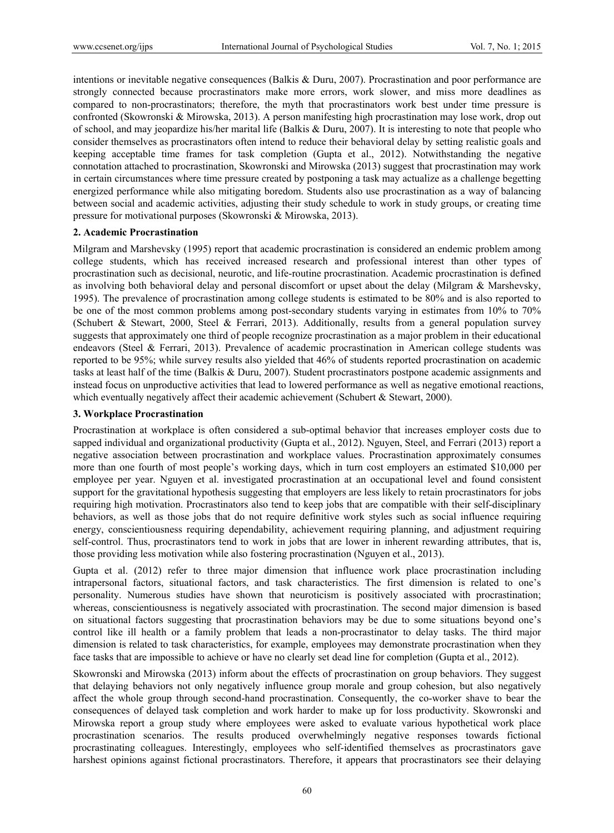intentions or inevitable negative consequences (Balkis & Duru, 2007). Procrastination and poor performance are strongly connected because procrastinators make more errors, work slower, and miss more deadlines as compared to non-procrastinators; therefore, the myth that procrastinators work best under time pressure is confronted (Skowronski & Mirowska, 2013). A person manifesting high procrastination may lose work, drop out of school, and may jeopardize his/her marital life (Balkis & Duru, 2007). It is interesting to note that people who consider themselves as procrastinators often intend to reduce their behavioral delay by setting realistic goals and keeping acceptable time frames for task completion (Gupta et al., 2012). Notwithstanding the negative connotation attached to procrastination, Skowronski and Mirowska (2013) suggest that procrastination may work in certain circumstances where time pressure created by postponing a task may actualize as a challenge begetting energized performance while also mitigating boredom. Students also use procrastination as a way of balancing between social and academic activities, adjusting their study schedule to work in study groups, or creating time pressure for motivational purposes (Skowronski & Mirowska, 2013).

## **2. Academic Procrastination**

Milgram and Marshevsky (1995) report that academic procrastination is considered an endemic problem among college students, which has received increased research and professional interest than other types of procrastination such as decisional, neurotic, and life-routine procrastination. Academic procrastination is defined as involving both behavioral delay and personal discomfort or upset about the delay (Milgram & Marshevsky, 1995). The prevalence of procrastination among college students is estimated to be 80% and is also reported to be one of the most common problems among post-secondary students varying in estimates from 10% to 70% (Schubert & Stewart, 2000, Steel & Ferrari, 2013). Additionally, results from a general population survey suggests that approximately one third of people recognize procrastination as a major problem in their educational endeavors (Steel & Ferrari, 2013). Prevalence of academic procrastination in American college students was reported to be 95%; while survey results also yielded that 46% of students reported procrastination on academic tasks at least half of the time (Balkis & Duru, 2007). Student procrastinators postpone academic assignments and instead focus on unproductive activities that lead to lowered performance as well as negative emotional reactions, which eventually negatively affect their academic achievement (Schubert & Stewart, 2000).

## **3. Workplace Procrastination**

Procrastination at workplace is often considered a sub-optimal behavior that increases employer costs due to sapped individual and organizational productivity (Gupta et al., 2012). Nguyen, Steel, and Ferrari (2013) report a negative association between procrastination and workplace values. Procrastination approximately consumes more than one fourth of most people's working days, which in turn cost employers an estimated \$10,000 per employee per year. Nguyen et al. investigated procrastination at an occupational level and found consistent support for the gravitational hypothesis suggesting that employers are less likely to retain procrastinators for jobs requiring high motivation. Procrastinators also tend to keep jobs that are compatible with their self-disciplinary behaviors, as well as those jobs that do not require definitive work styles such as social influence requiring energy, conscientiousness requiring dependability, achievement requiring planning, and adjustment requiring self-control. Thus, procrastinators tend to work in jobs that are lower in inherent rewarding attributes, that is, those providing less motivation while also fostering procrastination (Nguyen et al., 2013).

Gupta et al. (2012) refer to three major dimension that influence work place procrastination including intrapersonal factors, situational factors, and task characteristics. The first dimension is related to one's personality. Numerous studies have shown that neuroticism is positively associated with procrastination; whereas, conscientiousness is negatively associated with procrastination. The second major dimension is based on situational factors suggesting that procrastination behaviors may be due to some situations beyond one's control like ill health or a family problem that leads a non-procrastinator to delay tasks. The third major dimension is related to task characteristics, for example, employees may demonstrate procrastination when they face tasks that are impossible to achieve or have no clearly set dead line for completion (Gupta et al., 2012).

Skowronski and Mirowska (2013) inform about the effects of procrastination on group behaviors. They suggest that delaying behaviors not only negatively influence group morale and group cohesion, but also negatively affect the whole group through second-hand procrastination. Consequently, the co-worker shave to bear the consequences of delayed task completion and work harder to make up for loss productivity. Skowronski and Mirowska report a group study where employees were asked to evaluate various hypothetical work place procrastination scenarios. The results produced overwhelmingly negative responses towards fictional procrastinating colleagues. Interestingly, employees who self-identified themselves as procrastinators gave harshest opinions against fictional procrastinators. Therefore, it appears that procrastinators see their delaying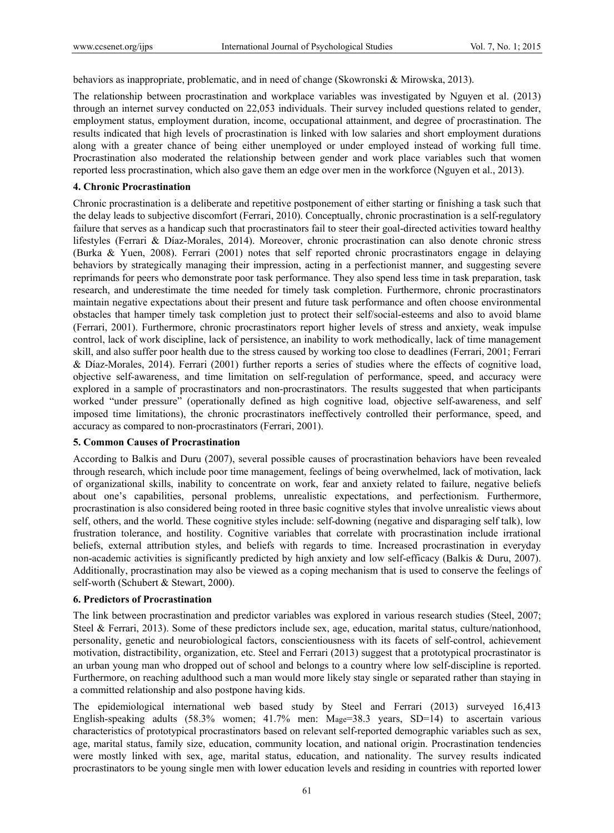behaviors as inappropriate, problematic, and in need of change (Skowronski & Mirowska, 2013).

The relationship between procrastination and workplace variables was investigated by Nguyen et al. (2013) through an internet survey conducted on 22,053 individuals. Their survey included questions related to gender, employment status, employment duration, income, occupational attainment, and degree of procrastination. The results indicated that high levels of procrastination is linked with low salaries and short employment durations along with a greater chance of being either unemployed or under employed instead of working full time. Procrastination also moderated the relationship between gender and work place variables such that women reported less procrastination, which also gave them an edge over men in the workforce (Nguyen et al., 2013).

## **4. Chronic Procrastination**

Chronic procrastination is a deliberate and repetitive postponement of either starting or finishing a task such that the delay leads to subjective discomfort (Ferrari, 2010). Conceptually, chronic procrastination is a self-regulatory failure that serves as a handicap such that procrastinators fail to steer their goal-directed activities toward healthy lifestyles (Ferrari & Díaz-Morales, 2014). Moreover, chronic procrastination can also denote chronic stress (Burka & Yuen, 2008). Ferrari (2001) notes that self reported chronic procrastinators engage in delaying behaviors by strategically managing their impression, acting in a perfectionist manner, and suggesting severe reprimands for peers who demonstrate poor task performance. They also spend less time in task preparation, task research, and underestimate the time needed for timely task completion. Furthermore, chronic procrastinators maintain negative expectations about their present and future task performance and often choose environmental obstacles that hamper timely task completion just to protect their self/social-esteems and also to avoid blame (Ferrari, 2001). Furthermore, chronic procrastinators report higher levels of stress and anxiety, weak impulse control, lack of work discipline, lack of persistence, an inability to work methodically, lack of time management skill, and also suffer poor health due to the stress caused by working too close to deadlines (Ferrari, 2001; Ferrari & Díaz-Morales, 2014). Ferrari (2001) further reports a series of studies where the effects of cognitive load, objective self-awareness, and time limitation on self-regulation of performance, speed, and accuracy were explored in a sample of procrastinators and non-procrastinators. The results suggested that when participants worked "under pressure" (operationally defined as high cognitive load, objective self-awareness, and self imposed time limitations), the chronic procrastinators ineffectively controlled their performance, speed, and accuracy as compared to non-procrastinators (Ferrari, 2001).

#### **5. Common Causes of Procrastination**

According to Balkis and Duru (2007), several possible causes of procrastination behaviors have been revealed through research, which include poor time management, feelings of being overwhelmed, lack of motivation, lack of organizational skills, inability to concentrate on work, fear and anxiety related to failure, negative beliefs about one's capabilities, personal problems, unrealistic expectations, and perfectionism. Furthermore, procrastination is also considered being rooted in three basic cognitive styles that involve unrealistic views about self, others, and the world. These cognitive styles include: self-downing (negative and disparaging self talk), low frustration tolerance, and hostility. Cognitive variables that correlate with procrastination include irrational beliefs, external attribution styles, and beliefs with regards to time. Increased procrastination in everyday non-academic activities is significantly predicted by high anxiety and low self-efficacy (Balkis & Duru, 2007). Additionally, procrastination may also be viewed as a coping mechanism that is used to conserve the feelings of self-worth (Schubert & Stewart, 2000).

#### **6. Predictors of Procrastination**

The link between procrastination and predictor variables was explored in various research studies (Steel, 2007; Steel & Ferrari, 2013). Some of these predictors include sex, age, education, marital status, culture/nationhood, personality, genetic and neurobiological factors, conscientiousness with its facets of self-control, achievement motivation, distractibility, organization, etc. Steel and Ferrari (2013) suggest that a prototypical procrastinator is an urban young man who dropped out of school and belongs to a country where low self-discipline is reported. Furthermore, on reaching adulthood such a man would more likely stay single or separated rather than staying in a committed relationship and also postpone having kids.

The epidemiological international web based study by Steel and Ferrari (2013) surveyed 16,413 English-speaking adults (58.3% women; 41.7% men: Mage=38.3 years, SD=14) to ascertain various characteristics of prototypical procrastinators based on relevant self-reported demographic variables such as sex, age, marital status, family size, education, community location, and national origin. Procrastination tendencies were mostly linked with sex, age, marital status, education, and nationality. The survey results indicated procrastinators to be young single men with lower education levels and residing in countries with reported lower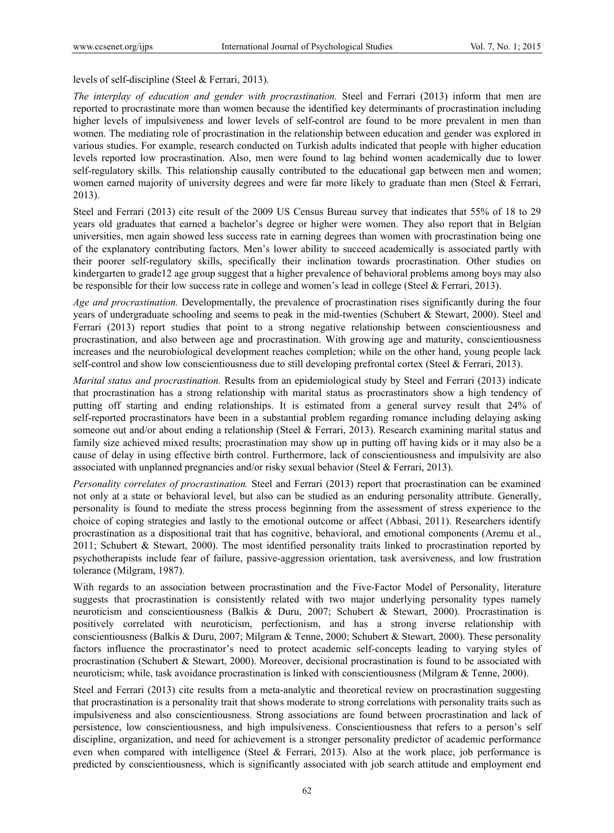levels of self-discipline (Steel & Ferrari, 2013).

*The interplay of education and gender with procrastination.* Steel and Ferrari (2013) inform that men are reported to procrastinate more than women because the identified key determinants of procrastination including higher levels of impulsiveness and lower levels of self-control are found to be more prevalent in men than women. The mediating role of procrastination in the relationship between education and gender was explored in various studies. For example, research conducted on Turkish adults indicated that people with higher education levels reported low procrastination. Also, men were found to lag behind women academically due to lower self-regulatory skills. This relationship causally contributed to the educational gap between men and women; women earned majority of university degrees and were far more likely to graduate than men (Steel & Ferrari, 2013).

Steel and Ferrari (2013) cite result of the 2009 US Census Bureau survey that indicates that 55% of 18 to 29 years old graduates that earned a bachelor's degree or higher were women. They also report that in Belgian universities, men again showed less success rate in earning degrees than women with procrastination being one of the explanatory contributing factors. Men's lower ability to succeed academically is associated partly with their poorer self-regulatory skills, specifically their inclination towards procrastination. Other studies on kindergarten to grade12 age group suggest that a higher prevalence of behavioral problems among boys may also be responsible for their low success rate in college and women's lead in college (Steel & Ferrari, 2013).

*Age and procrastination.* Developmentally, the prevalence of procrastination rises significantly during the four years of undergraduate schooling and seems to peak in the mid-twenties (Schubert & Stewart, 2000). Steel and Ferrari (2013) report studies that point to a strong negative relationship between conscientiousness and procrastination, and also between age and procrastination. With growing age and maturity, conscientiousness increases and the neurobiological development reaches completion; while on the other hand, young people lack self-control and show low conscientiousness due to still developing prefrontal cortex (Steel & Ferrari, 2013).

*Marital status and procrastination.* Results from an epidemiological study by Steel and Ferrari (2013) indicate that procrastination has a strong relationship with marital status as procrastinators show a high tendency of putting off starting and ending relationships. It is estimated from a general survey result that 24% of self-reported procrastinators have been in a substantial problem regarding romance including delaying asking someone out and/or about ending a relationship (Steel & Ferrari, 2013). Research examining marital status and family size achieved mixed results; procrastination may show up in putting off having kids or it may also be a cause of delay in using effective birth control. Furthermore, lack of conscientiousness and impulsivity are also associated with unplanned pregnancies and/or risky sexual behavior (Steel & Ferrari, 2013).

*Personality correlates of procrastination.* Steel and Ferrari (2013) report that procrastination can be examined not only at a state or behavioral level, but also can be studied as an enduring personality attribute. Generally, personality is found to mediate the stress process beginning from the assessment of stress experience to the choice of coping strategies and lastly to the emotional outcome or affect (Abbasi, 2011). Researchers identify procrastination as a dispositional trait that has cognitive, behavioral, and emotional components (Aremu et al., 2011; Schubert & Stewart, 2000). The most identified personality traits linked to procrastination reported by psychotherapists include fear of failure, passive-aggression orientation, task aversiveness, and low frustration tolerance (Milgram, 1987).

With regards to an association between procrastination and the Five-Factor Model of Personality, literature suggests that procrastination is consistently related with two major underlying personality types namely neuroticism and conscientiousness (Balkis & Duru, 2007; Schubert & Stewart, 2000). Procrastination is positively correlated with neuroticism, perfectionism, and has a strong inverse relationship with conscientiousness (Balkis & Duru, 2007; Milgram & Tenne, 2000; Schubert & Stewart, 2000). These personality factors influence the procrastinator's need to protect academic self-concepts leading to varying styles of procrastination (Schubert & Stewart, 2000). Moreover, decisional procrastination is found to be associated with neuroticism; while, task avoidance procrastination is linked with conscientiousness (Milgram & Tenne, 2000).

Steel and Ferrari (2013) cite results from a meta-analytic and theoretical review on procrastination suggesting that procrastination is a personality trait that shows moderate to strong correlations with personality traits such as impulsiveness and also conscientiousness. Strong associations are found between procrastination and lack of persistence, low conscientiousness, and high impulsiveness. Conscientiousness that refers to a person's self discipline, organization, and need for achievement is a stronger personality predictor of academic performance even when compared with intelligence (Steel  $\&$  Ferrari, 2013). Also at the work place, job performance is predicted by conscientiousness, which is significantly associated with job search attitude and employment end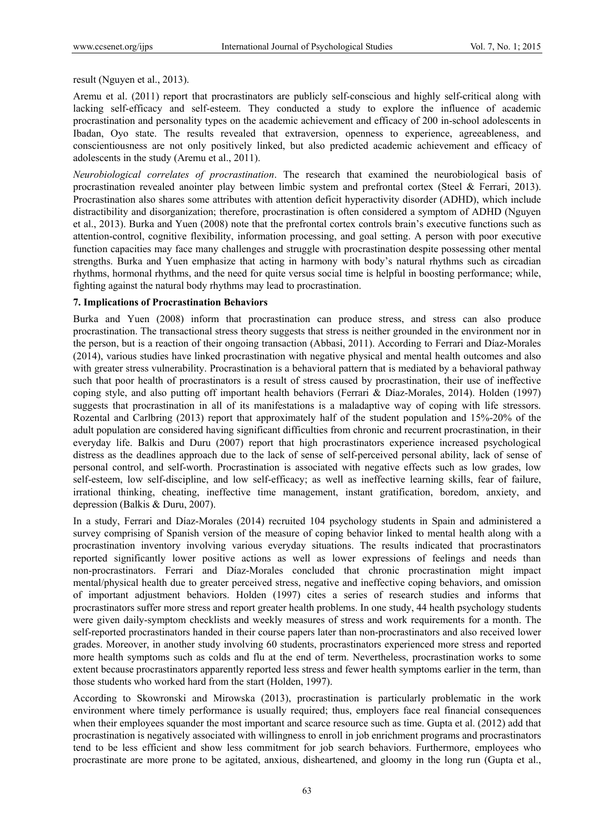## result (Nguyen et al., 2013).

Aremu et al. (2011) report that procrastinators are publicly self-conscious and highly self-critical along with lacking self-efficacy and self-esteem. They conducted a study to explore the influence of academic procrastination and personality types on the academic achievement and efficacy of 200 in-school adolescents in Ibadan, Oyo state. The results revealed that extraversion, openness to experience, agreeableness, and conscientiousness are not only positively linked, but also predicted academic achievement and efficacy of adolescents in the study (Aremu et al., 2011).

*Neurobiological correlates of procrastination*. The research that examined the neurobiological basis of procrastination revealed anointer play between limbic system and prefrontal cortex (Steel & Ferrari, 2013). Procrastination also shares some attributes with attention deficit hyperactivity disorder (ADHD), which include distractibility and disorganization; therefore, procrastination is often considered a symptom of ADHD (Nguyen et al., 2013). Burka and Yuen (2008) note that the prefrontal cortex controls brain's executive functions such as attention-control, cognitive flexibility, information processing, and goal setting. A person with poor executive function capacities may face many challenges and struggle with procrastination despite possessing other mental strengths. Burka and Yuen emphasize that acting in harmony with body's natural rhythms such as circadian rhythms, hormonal rhythms, and the need for quite versus social time is helpful in boosting performance; while, fighting against the natural body rhythms may lead to procrastination.

# **7. Implications of Procrastination Behaviors**

Burka and Yuen (2008) inform that procrastination can produce stress, and stress can also produce procrastination. The transactional stress theory suggests that stress is neither grounded in the environment nor in the person, but is a reaction of their ongoing transaction (Abbasi, 2011). According to Ferrari and Díaz-Morales (2014), various studies have linked procrastination with negative physical and mental health outcomes and also with greater stress vulnerability. Procrastination is a behavioral pattern that is mediated by a behavioral pathway such that poor health of procrastinators is a result of stress caused by procrastination, their use of ineffective coping style, and also putting off important health behaviors (Ferrari & Díaz-Morales, 2014). Holden (1997) suggests that procrastination in all of its manifestations is a maladaptive way of coping with life stressors. Rozental and Carlbring (2013) report that approximately half of the student population and 15%-20% of the adult population are considered having significant difficulties from chronic and recurrent procrastination, in their everyday life. Balkis and Duru (2007) report that high procrastinators experience increased psychological distress as the deadlines approach due to the lack of sense of self-perceived personal ability, lack of sense of personal control, and self-worth. Procrastination is associated with negative effects such as low grades, low self-esteem, low self-discipline, and low self-efficacy; as well as ineffective learning skills, fear of failure, irrational thinking, cheating, ineffective time management, instant gratification, boredom, anxiety, and depression (Balkis & Duru, 2007).

In a study, Ferrari and Díaz-Morales (2014) recruited 104 psychology students in Spain and administered a survey comprising of Spanish version of the measure of coping behavior linked to mental health along with a procrastination inventory involving various everyday situations. The results indicated that procrastinators reported significantly lower positive actions as well as lower expressions of feelings and needs than non-procrastinators. Ferrari and Díaz-Morales concluded that chronic procrastination might impact mental/physical health due to greater perceived stress, negative and ineffective coping behaviors, and omission of important adjustment behaviors. Holden (1997) cites a series of research studies and informs that procrastinators suffer more stress and report greater health problems. In one study, 44 health psychology students were given daily-symptom checklists and weekly measures of stress and work requirements for a month. The self-reported procrastinators handed in their course papers later than non-procrastinators and also received lower grades. Moreover, in another study involving 60 students, procrastinators experienced more stress and reported more health symptoms such as colds and flu at the end of term. Nevertheless, procrastination works to some extent because procrastinators apparently reported less stress and fewer health symptoms earlier in the term, than those students who worked hard from the start (Holden, 1997).

According to Skowronski and Mirowska (2013), procrastination is particularly problematic in the work environment where timely performance is usually required; thus, employers face real financial consequences when their employees squander the most important and scarce resource such as time. Gupta et al. (2012) add that procrastination is negatively associated with willingness to enroll in job enrichment programs and procrastinators tend to be less efficient and show less commitment for job search behaviors. Furthermore, employees who procrastinate are more prone to be agitated, anxious, disheartened, and gloomy in the long run (Gupta et al.,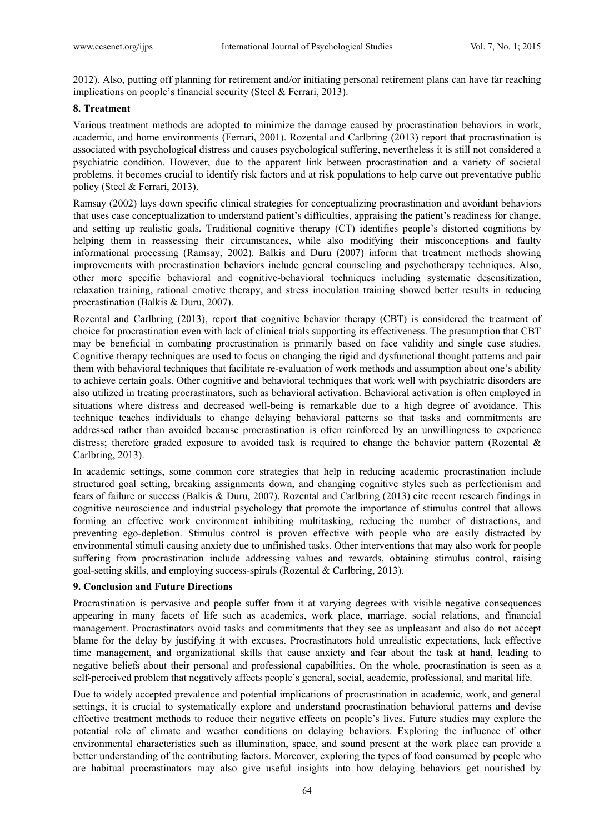2012). Also, putting off planning for retirement and/or initiating personal retirement plans can have far reaching implications on people's financial security (Steel & Ferrari, 2013).

#### **8. Treatment**

Various treatment methods are adopted to minimize the damage caused by procrastination behaviors in work, academic, and home environments (Ferrari, 2001). Rozental and Carlbring (2013) report that procrastination is associated with psychological distress and causes psychological suffering, nevertheless it is still not considered a psychiatric condition. However, due to the apparent link between procrastination and a variety of societal problems, it becomes crucial to identify risk factors and at risk populations to help carve out preventative public policy (Steel & Ferrari, 2013).

Ramsay (2002) lays down specific clinical strategies for conceptualizing procrastination and avoidant behaviors that uses case conceptualization to understand patient's difficulties, appraising the patient's readiness for change, and setting up realistic goals. Traditional cognitive therapy (CT) identifies people's distorted cognitions by helping them in reassessing their circumstances, while also modifying their misconceptions and faulty informational processing (Ramsay, 2002). Balkis and Duru (2007) inform that treatment methods showing improvements with procrastination behaviors include general counseling and psychotherapy techniques. Also, other more specific behavioral and cognitive-behavioral techniques including systematic desensitization, relaxation training, rational emotive therapy, and stress inoculation training showed better results in reducing procrastination (Balkis & Duru, 2007).

Rozental and Carlbring (2013), report that cognitive behavior therapy (CBT) is considered the treatment of choice for procrastination even with lack of clinical trials supporting its effectiveness. The presumption that CBT may be beneficial in combating procrastination is primarily based on face validity and single case studies. Cognitive therapy techniques are used to focus on changing the rigid and dysfunctional thought patterns and pair them with behavioral techniques that facilitate re-evaluation of work methods and assumption about one's ability to achieve certain goals. Other cognitive and behavioral techniques that work well with psychiatric disorders are also utilized in treating procrastinators, such as behavioral activation. Behavioral activation is often employed in situations where distress and decreased well-being is remarkable due to a high degree of avoidance. This technique teaches individuals to change delaying behavioral patterns so that tasks and commitments are addressed rather than avoided because procrastination is often reinforced by an unwillingness to experience distress; therefore graded exposure to avoided task is required to change the behavior pattern (Rozental & Carlbring, 2013).

In academic settings, some common core strategies that help in reducing academic procrastination include structured goal setting, breaking assignments down, and changing cognitive styles such as perfectionism and fears of failure or success (Balkis & Duru, 2007). Rozental and Carlbring (2013) cite recent research findings in cognitive neuroscience and industrial psychology that promote the importance of stimulus control that allows forming an effective work environment inhibiting multitasking, reducing the number of distractions, and preventing ego-depletion. Stimulus control is proven effective with people who are easily distracted by environmental stimuli causing anxiety due to unfinished tasks. Other interventions that may also work for people suffering from procrastination include addressing values and rewards, obtaining stimulus control, raising goal-setting skills, and employing success-spirals (Rozental & Carlbring, 2013).

# **9. Conclusion and Future Directions**

Procrastination is pervasive and people suffer from it at varying degrees with visible negative consequences appearing in many facets of life such as academics, work place, marriage, social relations, and financial management. Procrastinators avoid tasks and commitments that they see as unpleasant and also do not accept blame for the delay by justifying it with excuses. Procrastinators hold unrealistic expectations, lack effective time management, and organizational skills that cause anxiety and fear about the task at hand, leading to negative beliefs about their personal and professional capabilities. On the whole, procrastination is seen as a self-perceived problem that negatively affects people's general, social, academic, professional, and marital life.

Due to widely accepted prevalence and potential implications of procrastination in academic, work, and general settings, it is crucial to systematically explore and understand procrastination behavioral patterns and devise effective treatment methods to reduce their negative effects on people's lives. Future studies may explore the potential role of climate and weather conditions on delaying behaviors. Exploring the influence of other environmental characteristics such as illumination, space, and sound present at the work place can provide a better understanding of the contributing factors. Moreover, exploring the types of food consumed by people who are habitual procrastinators may also give useful insights into how delaying behaviors get nourished by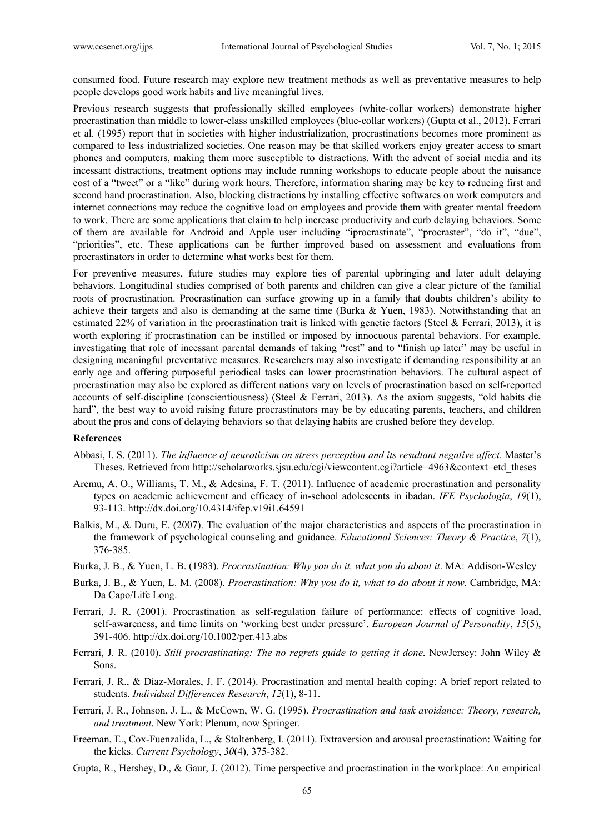consumed food. Future research may explore new treatment methods as well as preventative measures to help people develops good work habits and live meaningful lives.

Previous research suggests that professionally skilled employees (white-collar workers) demonstrate higher procrastination than middle to lower-class unskilled employees (blue-collar workers) (Gupta et al., 2012). Ferrari et al. (1995) report that in societies with higher industrialization, procrastinations becomes more prominent as compared to less industrialized societies. One reason may be that skilled workers enjoy greater access to smart phones and computers, making them more susceptible to distractions. With the advent of social media and its incessant distractions, treatment options may include running workshops to educate people about the nuisance cost of a "tweet" or a "like" during work hours. Therefore, information sharing may be key to reducing first and second hand procrastination. Also, blocking distractions by installing effective softwares on work computers and internet connections may reduce the cognitive load on employees and provide them with greater mental freedom to work. There are some applications that claim to help increase productivity and curb delaying behaviors. Some of them are available for Android and Apple user including "iprocrastinate", "procraster", "do it", "due", "priorities", etc. These applications can be further improved based on assessment and evaluations from procrastinators in order to determine what works best for them.

For preventive measures, future studies may explore ties of parental upbringing and later adult delaying behaviors. Longitudinal studies comprised of both parents and children can give a clear picture of the familial roots of procrastination. Procrastination can surface growing up in a family that doubts children's ability to achieve their targets and also is demanding at the same time (Burka & Yuen, 1983). Notwithstanding that an estimated 22% of variation in the procrastination trait is linked with genetic factors (Steel & Ferrari, 2013), it is worth exploring if procrastination can be instilled or imposed by innocuous parental behaviors. For example, investigating that role of incessant parental demands of taking "rest" and to "finish up later" may be useful in designing meaningful preventative measures. Researchers may also investigate if demanding responsibility at an early age and offering purposeful periodical tasks can lower procrastination behaviors. The cultural aspect of procrastination may also be explored as different nations vary on levels of procrastination based on self-reported accounts of self-discipline (conscientiousness) (Steel & Ferrari, 2013). As the axiom suggests, "old habits die hard", the best way to avoid raising future procrastinators may be by educating parents, teachers, and children about the pros and cons of delaying behaviors so that delaying habits are crushed before they develop.

## **References**

- Abbasi, I. S. (2011). *The influence of neuroticism on stress perception and its resultant negative affect*. Master's Theses. Retrieved from http://scholarworks.sjsu.edu/cgi/viewcontent.cgi?article=4963&context=etd\_theses
- Aremu, A. O., Williams, T. M., & Adesina, F. T. (2011). Influence of academic procrastination and personality types on academic achievement and efficacy of in-school adolescents in ibadan. *IFE Psychologia*, *19*(1), 93-113. http://dx.doi.org/10.4314/ifep.v19i1.64591
- Balkis, M., & Duru, E. (2007). The evaluation of the major characteristics and aspects of the procrastination in the framework of psychological counseling and guidance. *Educational Sciences: Theory & Practice*, *7*(1), 376-385.
- Burka, J. B., & Yuen, L. B. (1983). *Procrastination: Why you do it, what you do about it*. MA: Addison-Wesley
- Burka, J. B., & Yuen, L. M. (2008). *Procrastination: Why you do it, what to do about it now*. Cambridge, MA: Da Capo/Life Long.
- Ferrari, J. R. (2001). Procrastination as self-regulation failure of performance: effects of cognitive load, self-awareness, and time limits on 'working best under pressure'. *European Journal of Personality*, *15*(5), 391-406. http://dx.doi.org/10.1002/per.413.abs
- Ferrari, J. R. (2010). *Still procrastinating: The no regrets guide to getting it done*. NewJersey: John Wiley & Sons.
- Ferrari, J. R., & Díaz-Morales, J. F. (2014). Procrastination and mental health coping: A brief report related to students. *Individual Differences Research*, *12*(1), 8-11.
- Ferrari, J. R., Johnson, J. L., & McCown, W. G. (1995). *Procrastination and task avoidance: Theory, research, and treatment*. New York: Plenum, now Springer.
- Freeman, E., Cox-Fuenzalida, L., & Stoltenberg, I. (2011). Extraversion and arousal procrastination: Waiting for the kicks. *Current Psychology*, *30*(4), 375-382.
- Gupta, R., Hershey, D., & Gaur, J. (2012). Time perspective and procrastination in the workplace: An empirical